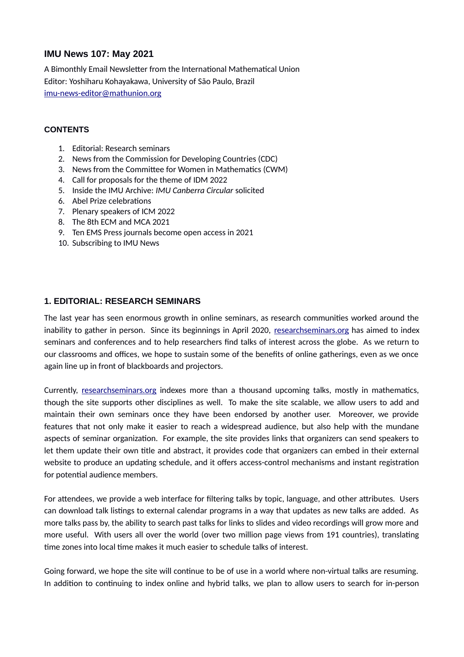# **IMU News 107: May 2021**

A Bimonthly Email Newsletter from the International Mathematical Union Editor: Yoshiharu Kohayakawa, University of São Paulo, Brazil [imu-news-editor@mathunion.org](mailto:imu-news-editor@mathunion.org)

### **CONTENTS**

- 1. Editorial: Research seminars
- 2. News from the Commission for Developing Countries (CDC)
- 3. News from the Committee for Women in Mathematics (CWM)
- 4. Call for proposals for the theme of IDM 2022
- 5. Inside the IMU Archive: *IMU Canberra Circular* solicited
- 6. Abel Prize celebrations
- 7. Plenary speakers of ICM 2022
- 8. The 8th ECM and MCA 2021
- 9. Ten EMS Press journals become open access in 2021
- 10. Subscribing to IMU News

### **1. EDITORIAL: RESEARCH SEMINARS**

The last year has seen enormous growth in online seminars, as research communities worked around the inability to gather in person. Since its beginnings in April 2020, [researchseminars.org](http://researchseminars.org/) has aimed to index seminars and conferences and to help researchers find talks of interest across the globe. As we return to our classrooms and offices, we hope to sustain some of the benefits of online gatherings, even as we once again line up in front of blackboards and projectors.

Currently, [researchseminars.org](http://researchseminars.org/) indexes more than a thousand upcoming talks, mostly in mathematics, though the site supports other disciplines as well. To make the site scalable, we allow users to add and maintain their own seminars once they have been endorsed by another user. Moreover, we provide features that not only make it easier to reach a widespread audience, but also help with the mundane aspects of seminar organization. For example, the site provides links that organizers can send speakers to let them update their own title and abstract, it provides code that organizers can embed in their external website to produce an updating schedule, and it offers access-control mechanisms and instant registration for potential audience members.

For attendees, we provide a web interface for filtering talks by topic, language, and other attributes. Users can download talk listings to external calendar programs in a way that updates as new talks are added. As more talks pass by, the ability to search past talks for links to slides and video recordings will grow more and more useful. With users all over the world (over two million page views from 191 countries), translating time zones into local time makes it much easier to schedule talks of interest.

Going forward, we hope the site will continue to be of use in a world where non-virtual talks are resuming. In addition to continuing to index online and hybrid talks, we plan to allow users to search for in-person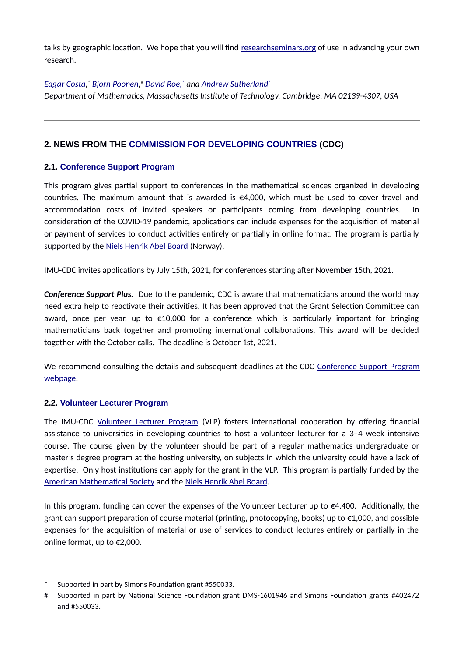talks by geographic location. We hope that you will find [researchseminars.org](http://researchseminars.org/) of use in advancing your own research.

# *[Edgar Costa](https://math.mit.edu/~edgarc/), [\\*](#page-1-0) [Bjorn Poonen,](https://math.mit.edu/~poonen/) [#](#page-1-1) [David Roe,](https://math.mit.edu/~roed/) \* and [Andrew Sutherland](https://math.mit.edu/~drew/)\**

*Department of Mathematics, Massachusetts Institute of Technology, Cambridge, MA 02139-4307, USA*

# **2. NEWS FROM THE [COMMISSION FOR DEVELOPING COUNTRIES](https://www.mathunion.org/cdc) (CDC)**

## **2.1. [Conference Support Program](https://www.mathunion.org/cdc/grants/conference-support-program)**

This program gives partial support to conferences in the mathematical sciences organized in developing countries. The maximum amount that is awarded is  $\epsilon$ 4,000, which must be used to cover travel and accommodation costs of invited speakers or participants coming from developing countries. consideration of the COVID-19 pandemic, applications can include expenses for the acquisition of material or payment of services to conduct activities entirely or partially in online format. The program is partially supported by the [Niels Henrik Abel Board](http://www.abelprize.no/c53677/artikkel/vis.html?tid=53707) (Norway).

IMU-CDC invites applications by July 15th, 2021, for conferences starting after November 15th, 2021.

*Conference Support Plus.* Due to the pandemic, CDC is aware that mathematicians around the world may need extra help to reactivate their activities. It has been approved that the Grant Selection Committee can award, once per year, up to €10,000 for a conference which is particularly important for bringing mathematicians back together and promoting international collaborations. This award will be decided together with the October calls. The deadline is October 1st, 2021.

We recommend consulting the details and subsequent deadlines at the CDC [Conference Support Program](https://www.mathunion.org/cdc/grants/conference-support-program) [webpage](https://www.mathunion.org/cdc/grants/conference-support-program).

## **2.2. [Volunteer Lecturer Program](https://www.mathunion.org/cdc/lecturing/volunteer-lecturer-program)**

The IMU-CDC [Volunteer Lecturer Program](https://www.mathunion.org/cdc/lecturing/volunteer-lecturer-program) (VLP) fosters international cooperation by offering financial assistance to universities in developing countries to host a volunteer lecturer for a 3–4 week intensive course. The course given by the volunteer should be part of a regular mathematics undergraduate or master's degree program at the hosting university, on subjects in which the university could have a lack of expertise. Only host institutions can apply for the grant in the VLP. This program is partially funded by the [American Mathematical Society](https://www.ams.org/home/page) and the [Niels Henrik Abel Board](http://www.abelprize.no/c53677/artikkel/vis.html?tid=53707).

In this program, funding can cover the expenses of the Volunteer Lecturer up to  $\epsilon$ 4,400. Additionally, the grant can support preparation of course material (printing, photocopying, books) up to  $\epsilon$ 1,000, and possible expenses for the acquisition of material or use of services to conduct lectures entirely or partially in the online format, up to €2,000.

<span id="page-1-0"></span>Supported in part by Simons Foundation grant #550033.

<span id="page-1-1"></span><sup>#</sup> Supported in part by National Science Foundation grant DMS-1601946 and Simons Foundation grants #402472 and #550033.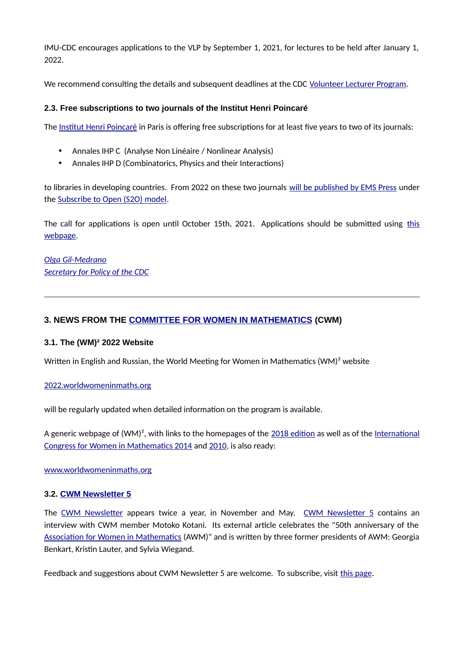IMU-CDC encourages applications to the VLP by September 1, 2021, for lectures to be held after January 1, 2022.

We recommend consulting the details and subsequent deadlines at the CDC [Volunteer Lecturer Program](https://www.mathunion.org/cdc/lecturing/volunteer-lecturer-program).

### **2.3. Free subscriptions to two journals of the Institut Henri Poincaré**

The [Institut Henri Poincaré](http://www.ihp.fr/en/ihp) in Paris is offering free subscriptions for at least five years to two of its journals:

- Annales IHP C (Analyse Non Linéaire / Nonlinear Analysis)
- Annales IHP D (Combinatorics, Physics and their Interactions)

to libraries in developing countries. From 2022 on these two journals [will be published by EMS Press](https://ems.press/updates/2021-03-31-aihpc-joins-ems-press) under the [Subscribe to Open \(S2O\) model](https://ems.press/subscribe-to-open).

The call for applications is open until October 15th, 2021. Applications should be submitted using [this](https://sondages.ihp.fr/index.php/698883) [webpage](https://sondages.ihp.fr/index.php/698883).

*[Olga Gil-Medrano](https://www.uv.es/~gilo/Pagina_web2/Inicio.html) [Secretary for Policy of the CDC](https://www.mathunion.org/cdc/about-cdc/members)*

## **3. NEWS FROM THE [COMMITTEE FOR WOMEN IN MATHEMATICS](https://www.mathunion.org/cwm) (CWM)**

#### **3.1. The (WM)² 2022 Website**

Written in English and Russian, the World Meeting for Women in Mathematics (WM)<sup>2</sup> website

#### [2022.worldwomeninmaths.org](https://2022.worldwomeninmaths.org/)

will be regularly updated when detailed information on the program is available.

A generic webpage of  $(WM)^2$ , with links to the homepages of the [2018 edition](http://2018.worldwomeninmaths.org/) as well as of the [International](http://www.icwm2014.org/) [Congress for Women in Mathematics 2014](http://www.icwm2014.org/) and [2010,](http://www.iitk.ac.in/icwm2010/) is also ready:

[www.worldwomeninmaths.org](https://www.worldwomeninmaths.org/)

#### **3.2. [CWM Newsletter 5](https://www.mathunion.org/fileadmin/CWM/Initiatives/CWMNewsletter5.pdf)**

The [CWM Newsletter](https://www.mathunion.org/cwm/about/cwm-newsletter) appears twice a year, in November and May. [CWM Newsletter 5](https://www.mathunion.org/fileadmin/CWM/Initiatives/CWMNewsletter5.pdf) contains an interview with CWM member Motoko Kotani. Its external article celebrates the "50th anniversary of the [Association for Women in Mathematics](https://awm-math.org/) (AWM)" and is written by three former presidents of AWM: Georgia Benkart, Kristin Lauter, and Sylvia Wiegand.

Feedback and suggestions about CWM Newsletter 5 are welcome. To subscribe, visit [this page](https://www.mathunion.org/cwm/about/cwm-newsletter).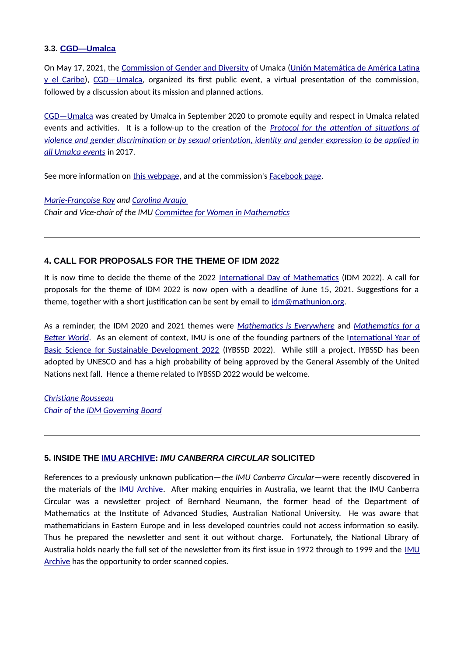#### **3.3. [CGD—Umalca](https://www.umalca.org/acerca/cgd/)**

On May 17, 2021, the [Commission of Gender and Diversity](https://www.umalca.org/acerca/cgd/) of Umalca ([Unión Matemática de América Latina](https://www.umalca.org/) [y el Caribe\)](https://www.umalca.org/), [CGD—Umalca,](https://www.umalca.org/acerca/cgd/) organized its first public event, a virtual presentation of the commission, followed by a discussion about its mission and planned actions.

[CGD—Umalca](https://www.umalca.org/acerca/cgd/) was created by Umalca in September 2020 to promote equity and respect in Umalca related events and activities. It is a follow-up to the creation of the *[Protocol for the attention of situations of](https://www.umalca.org/wp-content/uploads/2017/06/Umalca_codigo_conducta.pdf) [violence and gender discrimination or by sexual orientation, identity and gender expression to be applied in](https://www.umalca.org/wp-content/uploads/2017/06/Umalca_codigo_conducta.pdf) [all Umalca events](https://www.umalca.org/wp-content/uploads/2017/06/Umalca_codigo_conducta.pdf)* in 2017.

See more information on [this webpage](https://www.umalca.org/acerca/cgd/), and at the commission's [Facebook page](https://www.facebook.com/CGDdeUMALCA).

*[Marie-Françoise Roy](https://irmar.univ-rennes1.fr/en/interlocutors/marie-francoise-roy) and [Carolina Araujo](https://impa.br/pessoas-do-impa/pesquisadores-impa/) Chair and Vice-chair of the IMU [Committee for Women in Mathematics](https://mathunion.org/cwm/)*

#### **4. CALL FOR PROPOSALS FOR THE THEME OF IDM 2022**

It is now time to decide the theme of the 2022 [International Day of Mathematics](https://www.idm314.org/) (IDM 2022). A call for proposals for the theme of IDM 2022 is now open with a deadline of June 15, 2021. Suggestions for a theme, together with a short justification can be sent by email to  $idm@math>math>minon.org$ .

As a reminder, the IDM 2020 and 2021 themes were *[Mathematics is Everywhere](https://everywhere.idm314.org/)* and *[Mathematics for a](https://betterworld.idm314.org/) [Better World](https://betterworld.idm314.org/)*. As an element of context, IMU is one of the founding partners of the I[nternational Year of](https://www.iybssd2022.org/en/home/) [Basic Science for Sustainable Development 2022](https://www.iybssd2022.org/en/home/) (IYBSSD 2022). While still a project, IYBSSD has been adopted by UNESCO and has a high probability of being approved by the General Assembly of the United Nations next fall. Hence a theme related to IYBSSD 2022 would be welcome.

*[Christiane Rousseau](https://dms.umontreal.ca/fr/repertoire-departement/professeurs/portrait/rousseac) Chair of the [IDM Governing Board](https://www.mathunion.org/outreach/IDM)*

#### **5. INSIDE THE [IMU ARCHIVE](https://www.mathunion.org/outreach/imu-archive):** *IMU CANBERRA CIRCULAR* **SOLICITED**

References to a previously unknown publication—*the IMU Canberra Circular*—were recently discovered in the materials of the [IMU Archive](https://www.mathunion.org/outreach/imu-archive). After making enquiries in Australia, we learnt that the IMU Canberra Circular was a newsletter project of Bernhard Neumann, the former head of the Department of Mathematics at the Institute of Advanced Studies, Australian National University. He was aware that mathematicians in Eastern Europe and in less developed countries could not access information so easily. Thus he prepared the newsletter and sent it out without charge. Fortunately, the National Library of Australia holds nearly the full set of the newsletter from its first issue in 1972 through to 1999 and the [IMU](https://www.mathunion.org/outreach/imu-archive) [Archive](https://www.mathunion.org/outreach/imu-archive) has the opportunity to order scanned copies.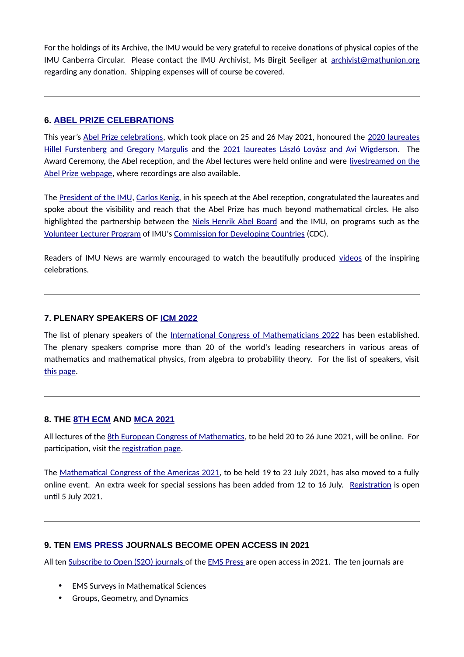For the holdings of its Archive, the IMU would be very grateful to receive donations of physical copies of the IMU Canberra Circular. Please contact the IMU Archivist, Ms Birgit Seeliger at [archivist@mathunion.org](mailto:archivist@mathunion.org?subject=IMU%20Canberra%20Circular) regarding any donation. Shipping expenses will of course be covered.

### **6. [ABEL PRIZE CELEBRATIONS](https://www.abelprize.no/nyheter/vis.html?tid=76445)**

This year's [Abel Prize celebrations](https://www.abelprize.no/nyheter/vis.html?tid=76445), which took place on 25 and 26 May 2021, honoured the [2020 laureates](https://www.abelprize.no/c76211/seksjon/vis.html?tid=76218) [Hillel Furstenberg and Gregory Margulis](https://www.abelprize.no/c76211/seksjon/vis.html?tid=76218) and the [2021 laureates László Lovász and Avi Wigderson.](https://www.abelprize.no/nyheter/vis.html?tid=76397) The Award Ceremony, the Abel reception, and the Abel lectures were held online and were [livestreamed on the](https://www.abelprize.no/artikkel/vis.html?tid=76455) [Abel Prize webpage](https://www.abelprize.no/artikkel/vis.html?tid=76455), where recordings are also available.

The [President of the IMU,](https://www.mathunion.org/organization/imu-executive-committee) [Carlos Kenig,](https://mathematics.uchicago.edu/people/profile/carlos-kenig/) in his speech at the Abel reception, congratulated the laureates and spoke about the visibility and reach that the Abel Prize has much beyond mathematical circles. He also highlighted the partnership between the [Niels Henrik Abel Board](http://www.abelprize.no/c53677/artikkel/vis.html?tid=53707) and the IMU, on programs such as the [Volunteer Lecturer Program](https://www.mathunion.org/cdc/lecturing/volunteer-lecturer-program) of IMU's [Commission for Developing Countries](https://www.mathunion.org/cdc) (CDC).

Readers of IMU News are warmly encouraged to watch the beautifully produced [videos](https://www.abelprize.no/artikkel/vis.html?tid=76455) of the inspiring celebrations.

### **7. PLENARY SPEAKERS OF [ICM 2022](https://icm2022.org/)**

The list of plenary speakers of the [International Congress of Mathematicians 2022](https://icm2022.org/) has been established. The plenary speakers comprise more than 20 of the world's leading researchers in various areas of mathematics and mathematical physics, from algebra to probability theory. For the list of speakers, visit [this page](https://icm2022.org/blog/the-list-of-plenary-speakers-of-the-international-mathematical-congress-2022).

#### **8. THE [8TH ECM](https://www.8ecm.si/) AND [MCA 2021](https://www.mca2021.org/en/)**

All lectures of the [8th European Congress of Mathematics](https://www.8ecm.si/), to be held 20 to 26 June 2021, will be online. For participation, visit the [registration page](https://8ecm.si/for-participants/fees-and-registration).

The [Mathematical Congress of the Americas 2021,](https://www.mca2021.org/en/) to be held 19 to 23 July 2021, has also moved to a fully online event. An extra week for special sessions has been added from 12 to 16 July. [Registration](https://www.mca2021.org/en/registration) is open until 5 July 2021.

## **9. TEN [EMS PRESS](https://ems.press/) JOURNALS BECOME OPEN ACCESS IN 2021**

All ten [Subscribe to Open \(S2O\) journals o](https://ems.press/subscribe-to-open)f the [EMS Press](https://ems.press/) are open access in 2021. The ten journals are

- EMS Surveys in Mathematical Sciences
- Groups, Geometry, and Dynamics